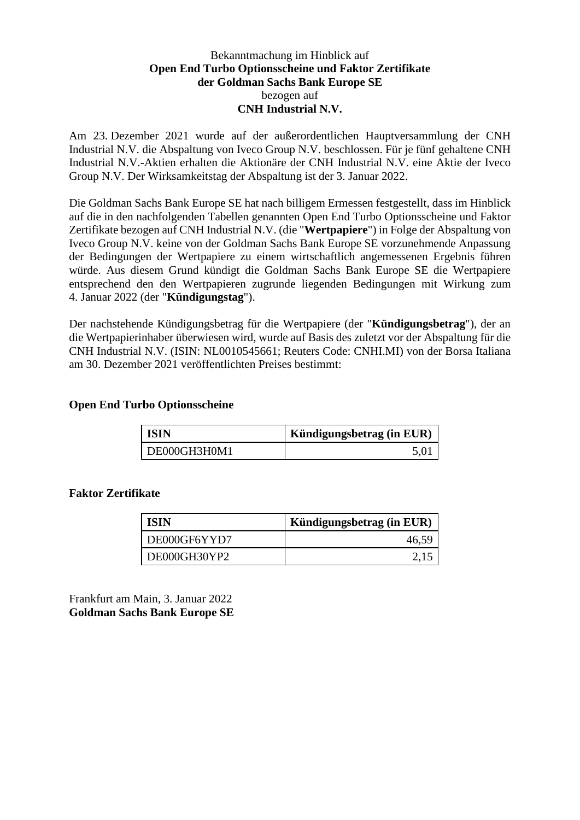### Bekanntmachung im Hinblick auf **Open End Turbo Optionsscheine und Faktor Zertifikate der Goldman Sachs Bank Europe SE** bezogen auf **CNH Industrial N.V.**

Am 23. Dezember 2021 wurde auf der außerordentlichen Hauptversammlung der CNH Industrial N.V. die Abspaltung von Iveco Group N.V. beschlossen. Für je fünf gehaltene CNH Industrial N.V.-Aktien erhalten die Aktionäre der CNH Industrial N.V. eine Aktie der Iveco Group N.V. Der Wirksamkeitstag der Abspaltung ist der 3. Januar 2022.

Die Goldman Sachs Bank Europe SE hat nach billigem Ermessen festgestellt, dass im Hinblick auf die in den nachfolgenden Tabellen genannten Open End Turbo Optionsscheine und Faktor Zertifikate bezogen auf CNH Industrial N.V. (die "**Wertpapiere**") in Folge der Abspaltung von Iveco Group N.V. keine von der Goldman Sachs Bank Europe SE vorzunehmende Anpassung der Bedingungen der Wertpapiere zu einem wirtschaftlich angemessenen Ergebnis führen würde. Aus diesem Grund kündigt die Goldman Sachs Bank Europe SE die Wertpapiere entsprechend den den Wertpapieren zugrunde liegenden Bedingungen mit Wirkung zum 4. Januar 2022 (der "**Kündigungstag**").

Der nachstehende Kündigungsbetrag für die Wertpapiere (der "**Kündigungsbetrag**"), der an die Wertpapierinhaber überwiesen wird, wurde auf Basis des zuletzt vor der Abspaltung für die CNH Industrial N.V. (ISIN: NL0010545661; Reuters Code: CNHI.MI) von der Borsa Italiana am 30. Dezember 2021 veröffentlichten Preises bestimmt:

### **Open End Turbo Optionsscheine**

| <b>ISIN</b>  | Kündigungsbetrag (in EUR) |
|--------------|---------------------------|
| DE000GH3H0M1 |                           |

### **Faktor Zertifikate**

| <b>ISIN</b>  | Kündigungsbetrag (in EUR) |
|--------------|---------------------------|
| DE000GF6YYD7 | 46,59                     |
| DE000GH30YP2 |                           |

Frankfurt am Main, 3. Januar 2022 **Goldman Sachs Bank Europe SE**